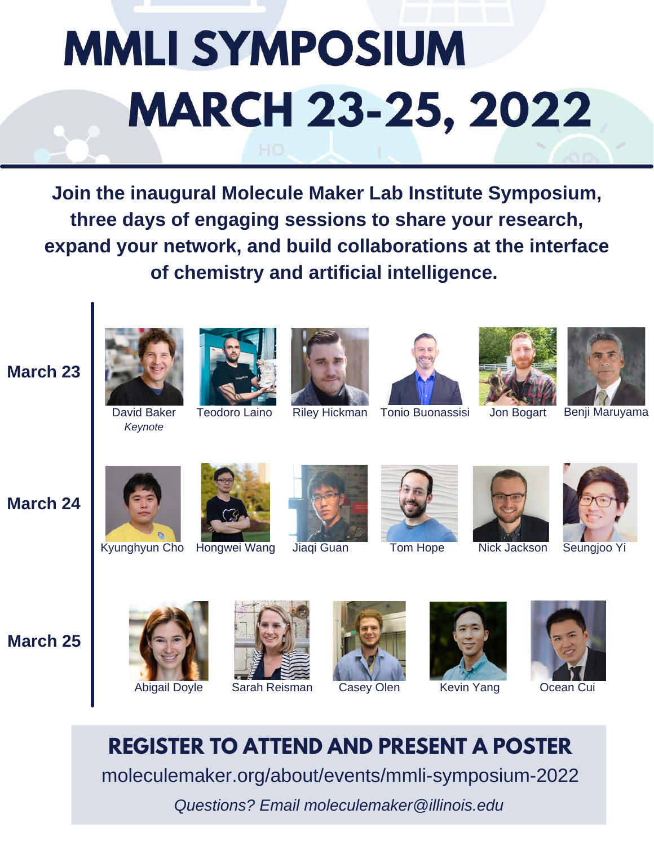# **MMLI SYMPOSIUM MARCH 23-25, 2022**

**Join the inaugural Molecule Maker Lab Institute Symposium, three days of engaging sessions to share your research, expand your network, and build collaborations at the interface of chemistry and artificial intelligence.**



*Keynote*











Riley Hickman Tonio Buonassisi Jon Bogart Benji Maruyama

**March 24**

**March 23**



Kyunghyun Cho Hongwei Wang









Jiaqi Guan Tom Hope Nick Jackson Seungjoo Yi

**March 25**





Abigail Doyle Sarah Reisman Casey Olen Kevin Yang





**REGISTER TO ATTEND AND PRESENT A POSTER** moleculemaker.org/about/events/mmli-symposium-2022

*Questions? Email moleculemaker@illinois.edu*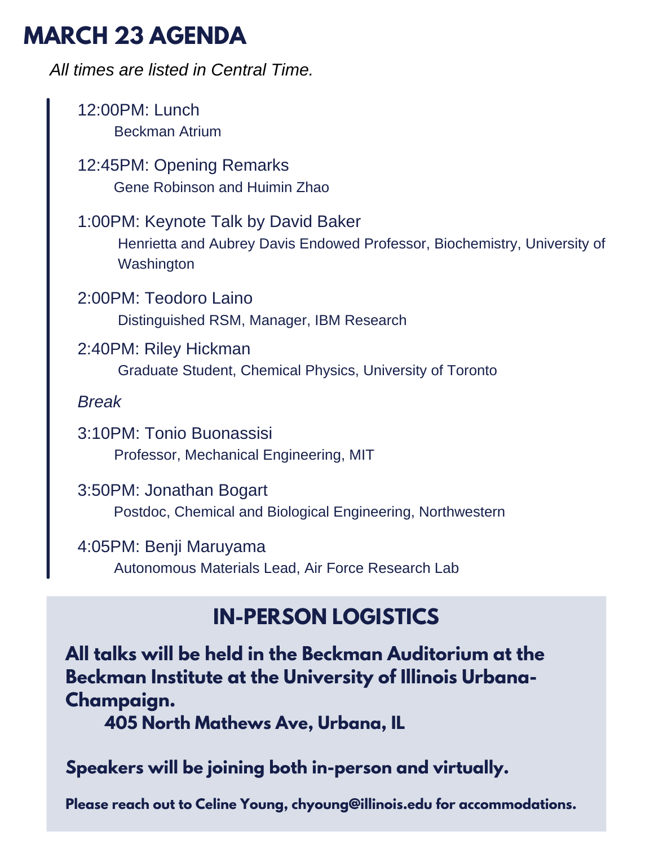# **MARCH 23 AGENDA**

12:00PM: Lunch Beckman Atrium 12:45PM: Opening Remarks Gene Robinson and Huimin Zhao 1:00PM: Keynote Talk by David Baker Henrietta and Aubrey Davis Endowed Professor, Biochemistry, University of **Washington** 2:00PM: Teodoro Laino Distinguished RSM, Manager, IBM Research 2:40PM: Riley Hickman Graduate Student, Chemical Physics, University of Toronto *Break* 3:10PM: Tonio Buonassisi Professor, Mechanical Engineering, MIT 3:50PM: Jonathan Bogart Postdoc, Chemical and Biological Engineering, Northwestern 4:05PM: Benji Maruyama Autonomous Materials Lead, Air Force Research Lab *All times are listed in Central Time.*

# **IN-PERSON LOGISTICS**

**All talks will be held in the Beckman Auditorium at the Beckman Institute at the University of Illinois Urbana-Champaign.**

**405 North Mathews Ave, Urbana, IL**

### **Speakers will be joining both in-person and virtually.**

**Please reach out to Celine Young, chyoung@illinois.edu for accommodations.**